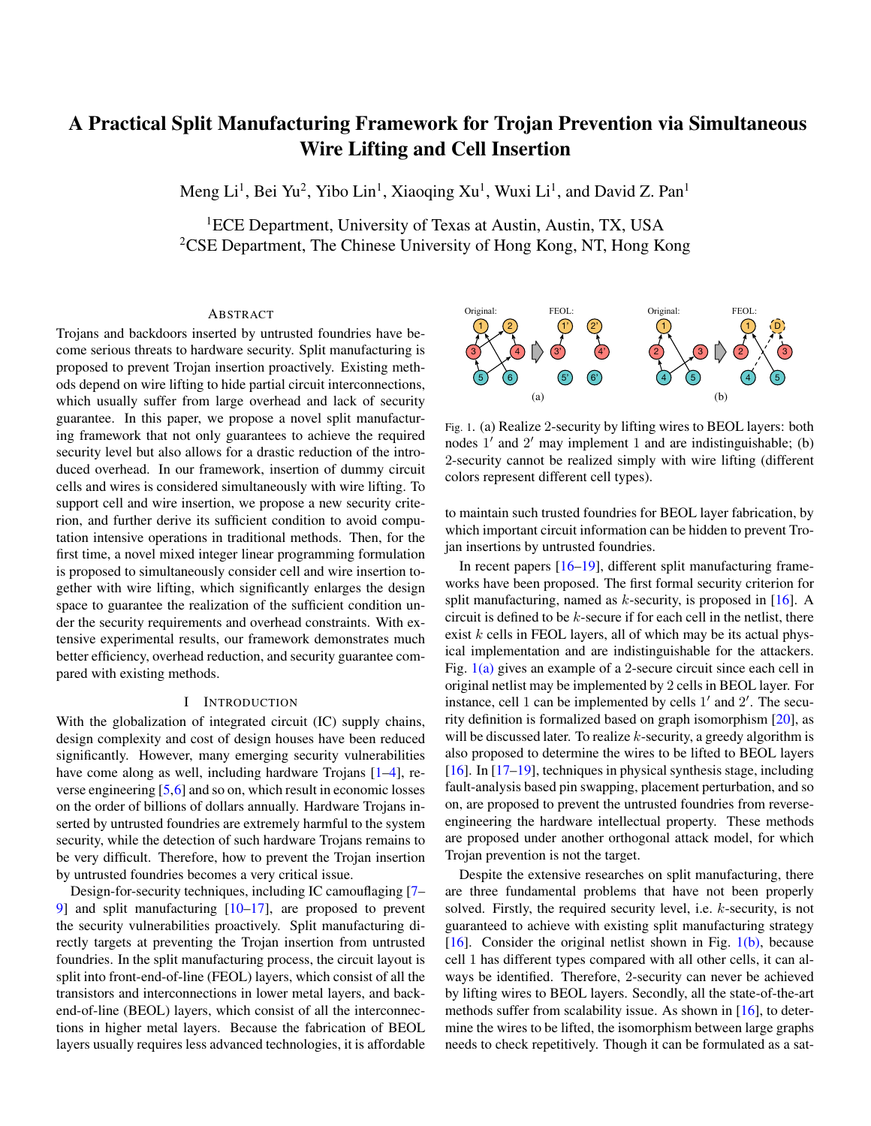# A Practical Split Manufacturing Framework for Trojan Prevention via Simultaneous Wire Lifting and Cell Insertion

Meng Li<sup>1</sup>, Bei Yu<sup>2</sup>, Yibo Lin<sup>1</sup>, Xiaoqing Xu<sup>1</sup>, Wuxi Li<sup>1</sup>, and David Z. Pan<sup>1</sup>

<sup>1</sup>ECE Department, University of Texas at Austin, Austin, TX, USA <sup>2</sup>CSE Department, The Chinese University of Hong Kong, NT, Hong Kong

#### ABSTRACT

Trojans and backdoors inserted by untrusted foundries have become serious threats to hardware security. Split manufacturing is proposed to prevent Trojan insertion proactively. Existing methods depend on wire lifting to hide partial circuit interconnections, which usually suffer from large overhead and lack of security guarantee. In this paper, we propose a novel split manufacturing framework that not only guarantees to achieve the required security level but also allows for a drastic reduction of the introduced overhead. In our framework, insertion of dummy circuit cells and wires is considered simultaneously with wire lifting. To support cell and wire insertion, we propose a new security criterion, and further derive its sufficient condition to avoid computation intensive operations in traditional methods. Then, for the first time, a novel mixed integer linear programming formulation is proposed to simultaneously consider cell and wire insertion together with wire lifting, which significantly enlarges the design space to guarantee the realization of the sufficient condition under the security requirements and overhead constraints. With extensive experimental results, our framework demonstrates much better efficiency, overhead reduction, and security guarantee compared with existing methods.

## I INTRODUCTION

With the globalization of integrated circuit (IC) supply chains, design complexity and cost of design houses have been reduced significantly. However, many emerging security vulnerabilities have come along as well, including hardware Trojans [\[1–](#page-5-0)[4\]](#page-5-1), reverse engineering [\[5,](#page-5-2)[6\]](#page-5-3) and so on, which result in economic losses on the order of billions of dollars annually. Hardware Trojans inserted by untrusted foundries are extremely harmful to the system security, while the detection of such hardware Trojans remains to be very difficult. Therefore, how to prevent the Trojan insertion by untrusted foundries becomes a very critical issue.

Design-for-security techniques, including IC camouflaging [\[7–](#page-5-4) [9\]](#page-5-5) and split manufacturing [\[10](#page-5-6)[–17\]](#page-5-7), are proposed to prevent the security vulnerabilities proactively. Split manufacturing directly targets at preventing the Trojan insertion from untrusted foundries. In the split manufacturing process, the circuit layout is split into front-end-of-line (FEOL) layers, which consist of all the transistors and interconnections in lower metal layers, and backend-of-line (BEOL) layers, which consist of all the interconnections in higher metal layers. Because the fabrication of BEOL layers usually requires less advanced technologies, it is affordable

<span id="page-0-0"></span>

<span id="page-0-1"></span>Fig. 1. (a) Realize 2-security by lifting wires to BEOL layers: both nodes 1' and 2' may implement 1 and are indistinguishable; (b) 2-security cannot be realized simply with wire lifting (different colors represent different cell types).

to maintain such trusted foundries for BEOL layer fabrication, by which important circuit information can be hidden to prevent Trojan insertions by untrusted foundries.

In recent papers [\[16–](#page-5-8)[19\]](#page-5-9), different split manufacturing frameworks have been proposed. The first formal security criterion for split manufacturing, named as  $k$ -security, is proposed in [\[16\]](#page-5-8). A circuit is defined to be  $k$ -secure if for each cell in the netlist, there exist  $k$  cells in FEOL layers, all of which may be its actual physical implementation and are indistinguishable for the attackers. Fig. [1\(a\)](#page-0-0) gives an example of a 2-secure circuit since each cell in original netlist may be implemented by 2 cells in BEOL layer. For instance, cell 1 can be implemented by cells  $1'$  and  $2'$ . The security definition is formalized based on graph isomorphism [\[20\]](#page-5-10), as will be discussed later. To realize  $k$ -security, a greedy algorithm is also proposed to determine the wires to be lifted to BEOL layers [\[16\]](#page-5-8). In [\[17–](#page-5-7)[19\]](#page-5-9), techniques in physical synthesis stage, including fault-analysis based pin swapping, placement perturbation, and so on, are proposed to prevent the untrusted foundries from reverseengineering the hardware intellectual property. These methods are proposed under another orthogonal attack model, for which Trojan prevention is not the target.

Despite the extensive researches on split manufacturing, there are three fundamental problems that have not been properly solved. Firstly, the required security level, i.e. k-security, is not guaranteed to achieve with existing split manufacturing strategy [\[16\]](#page-5-8). Consider the original netlist shown in Fig.  $1(b)$ , because cell 1 has different types compared with all other cells, it can always be identified. Therefore, 2-security can never be achieved by lifting wires to BEOL layers. Secondly, all the state-of-the-art methods suffer from scalability issue. As shown in [\[16\]](#page-5-8), to determine the wires to be lifted, the isomorphism between large graphs needs to check repetitively. Though it can be formulated as a sat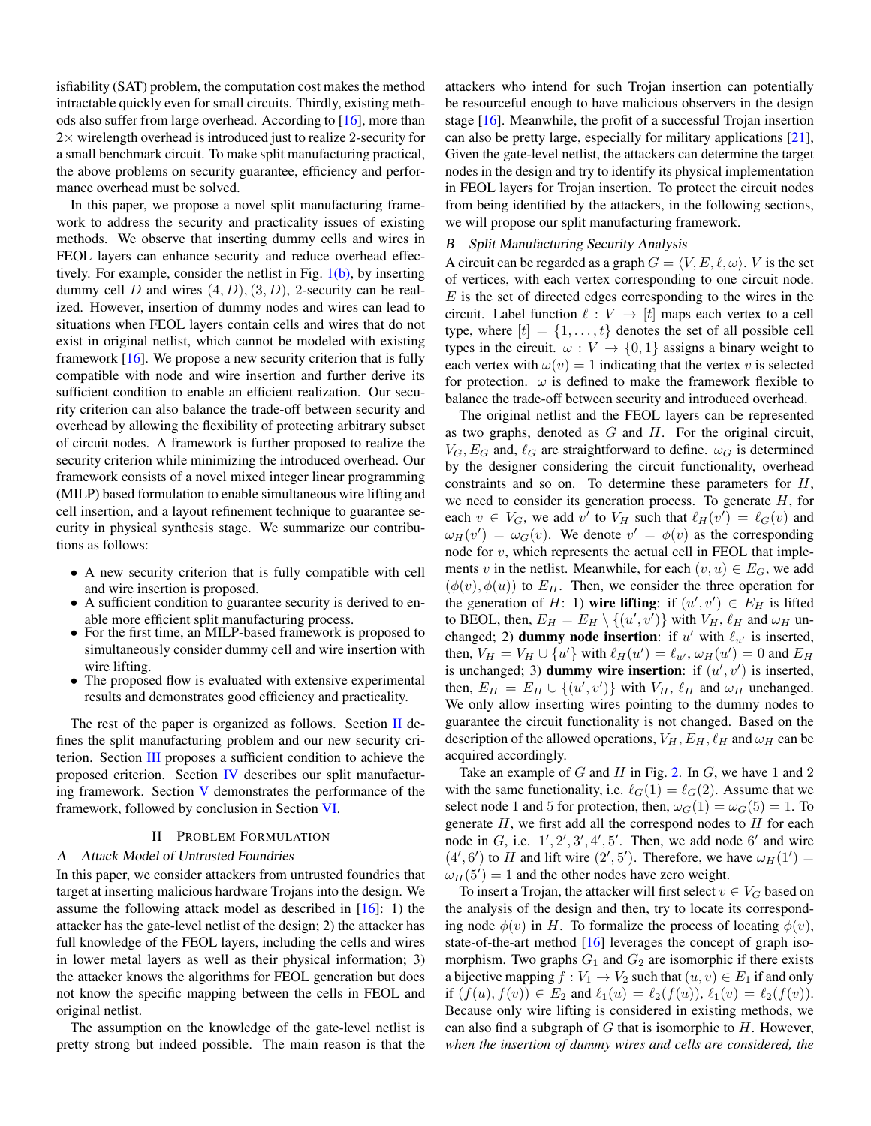isfiability (SAT) problem, the computation cost makes the method intractable quickly even for small circuits. Thirdly, existing methods also suffer from large overhead. According to [\[16\]](#page-5-8), more than  $2\times$  wirelength overhead is introduced just to realize 2-security for a small benchmark circuit. To make split manufacturing practical, the above problems on security guarantee, efficiency and performance overhead must be solved.

In this paper, we propose a novel split manufacturing framework to address the security and practicality issues of existing methods. We observe that inserting dummy cells and wires in FEOL layers can enhance security and reduce overhead effectively. For example, consider the netlist in Fig. [1\(b\),](#page-0-1) by inserting dummy cell D and wires  $(4, D), (3, D),$  2-security can be realized. However, insertion of dummy nodes and wires can lead to situations when FEOL layers contain cells and wires that do not exist in original netlist, which cannot be modeled with existing framework [\[16\]](#page-5-8). We propose a new security criterion that is fully compatible with node and wire insertion and further derive its sufficient condition to enable an efficient realization. Our security criterion can also balance the trade-off between security and overhead by allowing the flexibility of protecting arbitrary subset of circuit nodes. A framework is further proposed to realize the security criterion while minimizing the introduced overhead. Our framework consists of a novel mixed integer linear programming (MILP) based formulation to enable simultaneous wire lifting and cell insertion, and a layout refinement technique to guarantee security in physical synthesis stage. We summarize our contributions as follows:

- A new security criterion that is fully compatible with cell and wire insertion is proposed.
- A sufficient condition to guarantee security is derived to enable more efficient split manufacturing process.
- For the first time, an MILP-based framework is proposed to simultaneously consider dummy cell and wire insertion with wire lifting.
- The proposed flow is evaluated with extensive experimental results and demonstrates good efficiency and practicality.

The rest of the paper is organized as follows. Section  $\Pi$  defines the split manufacturing problem and our new security criterion. Section [III](#page-2-0) proposes a sufficient condition to achieve the proposed criterion. Section [IV](#page-3-0) describes our split manufacturing framework. Section [V](#page-4-0) demonstrates the performance of the framework, followed by conclusion in Section [VI.](#page-5-11)

#### II PROBLEM FORMULATION

### <span id="page-1-0"></span>A Attack Model of Untrusted Foundries

In this paper, we consider attackers from untrusted foundries that target at inserting malicious hardware Trojans into the design. We assume the following attack model as described in  $[16]$ : 1) the attacker has the gate-level netlist of the design; 2) the attacker has full knowledge of the FEOL layers, including the cells and wires in lower metal layers as well as their physical information; 3) the attacker knows the algorithms for FEOL generation but does not know the specific mapping between the cells in FEOL and original netlist.

The assumption on the knowledge of the gate-level netlist is pretty strong but indeed possible. The main reason is that the attackers who intend for such Trojan insertion can potentially be resourceful enough to have malicious observers in the design stage [\[16\]](#page-5-8). Meanwhile, the profit of a successful Trojan insertion can also be pretty large, especially for military applications [\[21\]](#page-5-12), Given the gate-level netlist, the attackers can determine the target nodes in the design and try to identify its physical implementation in FEOL layers for Trojan insertion. To protect the circuit nodes from being identified by the attackers, in the following sections, we will propose our split manufacturing framework.

## B Split Manufacturing Security Analysis

A circuit can be regarded as a graph  $G = \langle V, E, \ell, \omega \rangle$ . V is the set of vertices, with each vertex corresponding to one circuit node.  $E$  is the set of directed edges corresponding to the wires in the circuit. Label function  $\ell : V \to [t]$  maps each vertex to a cell type, where  $[t] = \{1, \ldots, t\}$  denotes the set of all possible cell types in the circuit.  $\omega : V \to \{0, 1\}$  assigns a binary weight to each vertex with  $\omega(v) = 1$  indicating that the vertex v is selected for protection.  $\omega$  is defined to make the framework flexible to balance the trade-off between security and introduced overhead.

The original netlist and the FEOL layers can be represented as two graphs, denoted as  $G$  and  $H$ . For the original circuit,  $V_G, E_G$  and,  $\ell_G$  are straightforward to define.  $\omega_G$  is determined by the designer considering the circuit functionality, overhead constraints and so on. To determine these parameters for H, we need to consider its generation process. To generate  $H$ , for each  $v \in V_G$ , we add v' to  $V_H$  such that  $\ell_H(v') = \ell_G(v)$  and  $\omega_H(v') = \omega_G(v)$ . We denote  $v' = \phi(v)$  as the corresponding node for  $v$ , which represents the actual cell in FEOL that implements v in the netlist. Meanwhile, for each  $(v, u) \in E_G$ , we add  $(\phi(v), \phi(u))$  to  $E_H$ . Then, we consider the three operation for the generation of H: 1) wire lifting: if  $(u', v') \in E_H$  is lifted to BEOL, then,  $E_H = E_H \setminus \{(u', v')\}$  with  $V_H$ ,  $\ell_H$  and  $\omega_H$  unchanged; 2) **dummy node insertion**: if  $u'$  with  $\ell_{u'}$  is inserted, then,  $V_H = V_H \cup \{u'\}$  with  $\ell_H(u') = \ell_{u'}$ ,  $\omega_H(u') = 0$  and  $E_H$ is unchanged; 3) **dummy wire insertion**: if  $(u', v')$  is inserted, then,  $E_H = E_H \cup \{(u', v')\}$  with  $V_H$ ,  $\ell_H$  and  $\omega_H$  unchanged. We only allow inserting wires pointing to the dummy nodes to guarantee the circuit functionality is not changed. Based on the description of the allowed operations,  $V_H$ ,  $E_H$ ,  $\ell_H$  and  $\omega_H$  can be acquired accordingly.

Take an example of  $G$  and  $H$  in Fig. [2.](#page-2-1) In  $G$ , we have 1 and 2 with the same functionality, i.e.  $\ell_G(1) = \ell_G(2)$ . Assume that we select node 1 and 5 for protection, then,  $\omega_G(1) = \omega_G(5) = 1$ . To generate  $H$ , we first add all the correspond nodes to  $H$  for each node in G, i.e.  $1', 2', 3', 4', 5'$ . Then, we add node 6' and wire  $(4', 6')$  to H and lift wire  $(2', 5')$ . Therefore, we have  $\omega_H(1') =$  $\omega_H(5') = 1$  and the other nodes have zero weight.

To insert a Trojan, the attacker will first select  $v \in V_G$  based on the analysis of the design and then, try to locate its corresponding node  $\phi(v)$  in H. To formalize the process of locating  $\phi(v)$ , state-of-the-art method [\[16\]](#page-5-8) leverages the concept of graph isomorphism. Two graphs  $G_1$  and  $G_2$  are isomorphic if there exists a bijective mapping  $f : V_1 \to V_2$  such that  $(u, v) \in E_1$  if and only if  $(f(u), f(v)) \in E_2$  and  $\ell_1(u) = \ell_2(f(u)), \ell_1(v) = \ell_2(f(v)).$ Because only wire lifting is considered in existing methods, we can also find a subgraph of  $G$  that is isomorphic to  $H$ . However, *when the insertion of dummy wires and cells are considered, the*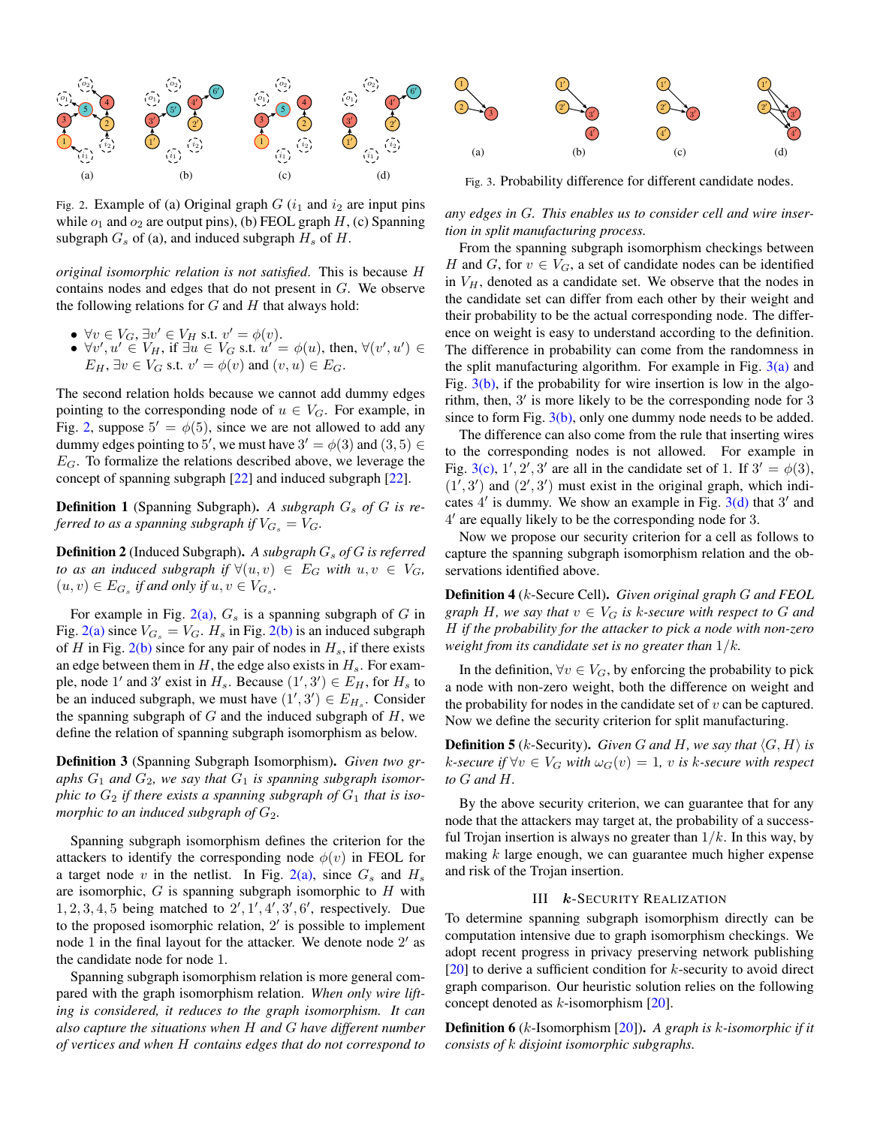<span id="page-2-2"></span><span id="page-2-1"></span>

<span id="page-2-3"></span>Fig. 2. Example of (a) Original graph  $G(i_1)$  and  $i_2$  are input pins while  $o_1$  and  $o_2$  are output pins), (b) FEOL graph H, (c) Spanning subgraph  $G_s$  of (a), and induced subgraph  $H_s$  of  $H$ .

*original isomorphic relation is not satisfied*. This is because H contains nodes and edges that do not present in G. We observe the following relations for  $G$  and  $H$  that always hold:

• 
$$
\forall v \in V_G
$$
,  $\exists v' \in V_H$  s.t.  $v' = \phi(v)$ .

•  $\forall v', u' \in V_H$ , if  $\exists u \in V_G$  s.t.  $u' = \phi(u)$ , then,  $\forall (v', u') \in$  $E_H$ ,  $\exists v \in V_G$  s.t.  $v' = \phi(v)$  and  $(v, u) \in E_G$ .

The second relation holds because we cannot add dummy edges pointing to the corresponding node of  $u \in V_G$ . For example, in Fig. [2,](#page-2-1) suppose  $5' = \phi(5)$ , since we are not allowed to add any dummy edges pointing to 5', we must have  $3' = \phi(3)$  and  $(3, 5) \in$  $E_G$ . To formalize the relations described above, we leverage the concept of spanning subgraph [\[22\]](#page-5-13) and induced subgraph [\[22\]](#page-5-13).

**Definition 1** (Spanning Subgraph). A subgraph  $G_s$  of G is re*ferred to as a spanning subgraph if*  $V_{G_s} = V_G$ .

Definition 2 (Induced Subgraph). A subgraph  $G_s$  of G is referred *to as an induced subgraph if*  $\forall (u, v) \in E_G$  *with*  $u, v \in V_G$ *,*  $(u, v) \in E_{G_s}$  *if and only if*  $u, v \in V_{G_s}$ *.* 

For example in Fig.  $2(a)$ ,  $G_s$  is a spanning subgraph of G in Fig. [2\(a\)](#page-2-2) since  $V_{G_s} = V_G$ . H<sub>s</sub> in Fig. [2\(b\)](#page-2-3) is an induced subgraph of H in Fig.  $2(b)$  since for any pair of nodes in  $H_s$ , if there exists an edge between them in  $H$ , the edge also exists in  $H_s$ . For example, node 1' and 3' exist in  $H_s$ . Because  $(1', 3') \in E_H$ , for  $H_s$  to be an induced subgraph, we must have  $(1', 3') \in E_{H_s}$ . Consider the spanning subgraph of  $G$  and the induced subgraph of  $H$ , we define the relation of spanning subgraph isomorphism as below.

Definition 3 (Spanning Subgraph Isomorphism). *Given two gr*aphs  $G_1$  and  $G_2$ , we say that  $G_1$  is spanning subgraph isomor*phic to*  $G_2$  *if there exists a spanning subgraph of*  $G_1$  *that is isomorphic to an induced subgraph of*  $G_2$ .

Spanning subgraph isomorphism defines the criterion for the attackers to identify the corresponding node  $\phi(v)$  in FEOL for a target node v in the netlist. In Fig. [2\(a\),](#page-2-2) since  $G_s$  and  $H_s$ are isomorphic,  $G$  is spanning subgraph isomorphic to  $H$  with  $1, 2, 3, 4, 5$  being matched to  $2', 1', 4', 3', 6'$ , respectively. Due to the proposed isomorphic relation,  $2'$  is possible to implement node 1 in the final layout for the attacker. We denote node  $2'$  as the candidate node for node 1.

Spanning subgraph isomorphism relation is more general compared with the graph isomorphism relation. *When only wire lifting is considered, it reduces to the graph isomorphism. It can also capture the situations when* H *and* G *have different number of vertices and when* H *contains edges that do not correspond to*

<span id="page-2-4"></span>

<span id="page-2-7"></span><span id="page-2-6"></span><span id="page-2-5"></span>Fig. 3. Probability difference for different candidate nodes.

*any edges in* G*. This enables us to consider cell and wire insertion in split manufacturing process.*

From the spanning subgraph isomorphism checkings between H and G, for  $v \in V_G$ , a set of candidate nodes can be identified in  $V_H$ , denoted as a candidate set. We observe that the nodes in the candidate set can differ from each other by their weight and their probability to be the actual corresponding node. The difference on weight is easy to understand according to the definition. The difference in probability can come from the randomness in the split manufacturing algorithm. For example in Fig.  $3(a)$  and Fig.  $3(b)$ , if the probability for wire insertion is low in the algorithm, then, 3' is more likely to be the corresponding node for 3 since to form Fig.  $3(b)$ , only one dummy node needs to be added.

The difference can also come from the rule that inserting wires to the corresponding nodes is not allowed. For example in Fig. [3\(c\),](#page-2-6)  $1', 2', 3'$  are all in the candidate set of 1. If  $3' = \phi(3)$ ,  $(1', 3')$  and  $(2', 3')$  must exist in the original graph, which indicates  $4'$  is dummy. We show an example in Fig.  $3(d)$  that  $3'$  and 4 0 are equally likely to be the corresponding node for 3.

Now we propose our security criterion for a cell as follows to capture the spanning subgraph isomorphism relation and the observations identified above.

Definition 4 (k-Secure Cell). *Given original graph* G *and FEOL graph* H, we say that  $v \in V_G$  *is k-secure with respect to* G and H *if the probability for the attacker to pick a node with non-zero weight from its candidate set is no greater than* 1/k*.*

In the definition,  $\forall v \in V_G$ , by enforcing the probability to pick a node with non-zero weight, both the difference on weight and the probability for nodes in the candidate set of  $v$  can be captured. Now we define the security criterion for split manufacturing.

**Definition 5** (k-Security). *Given G* and *H*, we say that  $\langle G, H \rangle$  is  $k$ -secure if  $\forall v \in V_G$  with  $\omega_G(v) = 1$ , v is k-secure with respect *to* G *and* H*.*

By the above security criterion, we can guarantee that for any node that the attackers may target at, the probability of a successful Trojan insertion is always no greater than  $1/k$ . In this way, by making  $k$  large enough, we can guarantee much higher expense and risk of the Trojan insertion.

#### III k-SECURITY REALIZATION

<span id="page-2-0"></span>To determine spanning subgraph isomorphism directly can be computation intensive due to graph isomorphism checkings. We adopt recent progress in privacy preserving network publishing  $[20]$  to derive a sufficient condition for k-security to avoid direct graph comparison. Our heuristic solution relies on the following concept denoted as k-isomorphism [\[20\]](#page-5-10).

Definition 6 (k-Isomorphism [\[20\]](#page-5-10)). *A graph is* k*-isomorphic if it consists of* k *disjoint isomorphic subgraphs.*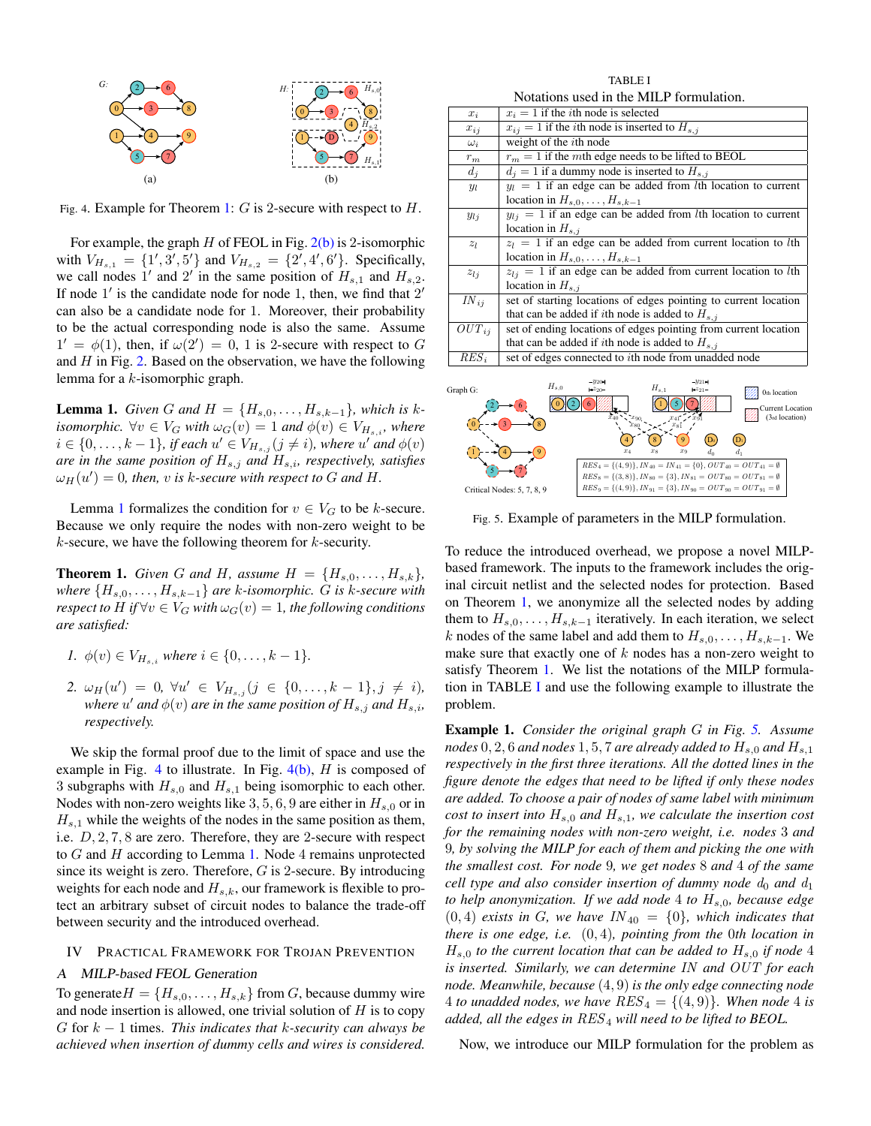<span id="page-3-3"></span>

Fig. 4. Example for Theorem [1:](#page-3-1)  $G$  is 2-secure with respect to  $H$ .

For example, the graph  $H$  of FEOL in Fig. [2\(b\)](#page-2-3) is 2-isomorphic with  $V_{H_{s,1}} = \{1', 3', 5'\}$  and  $V_{H_{s,2}} = \{2', 4', 6'\}$ . Specifically, we call nodes 1' and 2' in the same position of  $H_{s,1}$  and  $H_{s,2}$ . If node  $1'$  is the candidate node for node 1, then, we find that  $2'$ can also be a candidate node for 1. Moreover, their probability to be the actual corresponding node is also the same. Assume  $1' = \phi(1)$ , then, if  $\omega(2') = 0$ , 1 is 2-secure with respect to G and  $H$  in Fig. [2.](#page-2-1) Based on the observation, we have the following lemma for a k-isomorphic graph.

<span id="page-3-2"></span>**Lemma 1.** *Given G* and  $H = \{H_{s,0}, \ldots, H_{s,k-1}\}$ *, which is kisomorphic.*  $\forall v \in V_G$  *with*  $\omega_G(v) = 1$  *and*  $\phi(v) \in V_{H_{s,i}}$ *, where*  $i \in \{0, \ldots, k-1\}$ , if each  $u' \in V_{H_{s,j}} (j \neq i)$ , where  $u'$  and  $\phi(v)$ *are in the same position of*  $H_{s,j}$  *and*  $H_{s,i}$ *, respectively, satisfies*  $\omega_H(u') = 0$ , then, v is k-secure with respect to G and H.

Lemma [1](#page-3-2) formalizes the condition for  $v \in V_G$  to be k-secure. Because we only require the nodes with non-zero weight to be  $k$ -secure, we have the following theorem for  $k$ -security.

<span id="page-3-1"></span>**Theorem 1.** *Given G and H, assume*  $H = \{H_{s,0}, \ldots, H_{s,k}\},\$ *where*  ${H_{s,0}, \ldots, H_{s,k-1}}$  *are k-isomorphic. G is k-secure with respect to* H *if*  $\forall v \in V_G$  *with*  $\omega_G(v) = 1$ *, the following conditions are satisfied:*

- *1.*  $\phi(v) \in V_{H_{s,i}}$  *where*  $i \in \{0, \ldots, k-1\}.$
- 2.  $\omega_H(u') = 0, \forall u' \in V_{H_{s,j}}(j \in \{0,\ldots,k-1\}, j \neq i)$ , where  $u'$  and  $\phi(v)$  are in the same position of  $H_{s,j}$  and  $H_{s,i}$ , *respectively.*

We skip the formal proof due to the limit of space and use the example in Fig. [4](#page-3-3) to illustrate. In Fig.  $4(b)$ , H is composed of 3 subgraphs with  $H_{s,0}$  and  $H_{s,1}$  being isomorphic to each other. Nodes with non-zero weights like 3, 5, 6, 9 are either in  $H_{s,0}$  or in  $H_{s,1}$  while the weights of the nodes in the same position as them, i.e.  $D$ ,  $2$ ,  $7$ ,  $8$  are zero. Therefore, they are 2-secure with respect to  $G$  and  $H$  according to Lemma [1.](#page-3-2) Node 4 remains unprotected since its weight is zero. Therefore,  $G$  is 2-secure. By introducing weights for each node and  $H_{s,k}$ , our framework is flexible to protect an arbitrary subset of circuit nodes to balance the trade-off between security and the introduced overhead.

## <span id="page-3-0"></span>IV PRACTICAL FRAMEWORK FOR TROJAN PREVENTION

## A MILP-based FEOL Generation

To generate  $H = \{H_{s,0}, \ldots, H_{s,k}\}\$  from G, because dummy wire and node insertion is allowed, one trivial solution of  $H$  is to copy G for k − 1 times. *This indicates that* k*-security can always be achieved when insertion of dummy cells and wires is considered.*

TABLE I Notations used in the MILP formulation.

<span id="page-3-5"></span><span id="page-3-4"></span>

| $x_i$      | $x_i = 1$ if the <i>i</i> th node is selected                          |
|------------|------------------------------------------------------------------------|
| $x_{ij}$   | $x_{ij} = 1$ if the <i>i</i> th node is inserted to $H_{s, i}$         |
| $\omega_i$ | weight of the <i>i</i> th node                                         |
| $r_m$      | $r_m = 1$ if the mth edge needs to be lifted to BEOL                   |
| $d_i$      | $d_i = 1$ if a dummy node is inserted to $H_{s,i}$                     |
| $y_l$      | $y_l = 1$ if an edge can be added from <i>l</i> th location to current |
|            | location in $H_{s,0}, \ldots, H_{s,k-1}$                               |
| $y_{li}$   | $y_{lj} = 1$ if an edge can be added from lth location to current      |
|            | location in $H_{s,i}$                                                  |
| $z_l$      | $z_l = 1$ if an edge can be added from current location to lth         |
|            | location in $H_{s,0}, \ldots, H_{s,k-1}$                               |
| $z_{li}$   | $z_{lj} = 1$ if an edge can be added from current location to lth      |
|            | location in $H_{s,i}$                                                  |
| $IN_{ii}$  | set of starting locations of edges pointing to current location        |
|            | that can be added if <i>i</i> th node is added to $H_{s,i}$            |
| $OUT_{ii}$ | set of ending locations of edges pointing from current location        |
|            | that can be added if <i>i</i> th node is added to $H_{s,i}$            |
| $RES_i$    | set of edges connected to <i>i</i> th node from unadded node           |
|            |                                                                        |
|            | $-y_{21}$<br>$-$ <i>y</i> <sub>20</sub> +                              |

<span id="page-3-6"></span>

Fig. 5. Example of parameters in the MILP formulation.

To reduce the introduced overhead, we propose a novel MILPbased framework. The inputs to the framework includes the original circuit netlist and the selected nodes for protection. Based on Theorem [1,](#page-3-1) we anonymize all the selected nodes by adding them to  $H_{s,0}, \ldots, H_{s,k-1}$  iteratively. In each iteration, we select k nodes of the same label and add them to  $H_{s,0}, \ldots, H_{s,k-1}$ . We make sure that exactly one of  $k$  nodes has a non-zero weight to satisfy Theorem [1.](#page-3-1) We list the notations of the MILP formulation in TABLE [I](#page-3-5) and use the following example to illustrate the problem.

Example 1. *Consider the original graph* G *in Fig. [5.](#page-3-6) Assume nodes*  $0, 2, 6$  *and nodes*  $1, 5, 7$  *are already added to*  $H_{s,0}$  *and*  $H_{s,1}$ *respectively in the first three iterations. All the dotted lines in the figure denote the edges that need to be lifted if only these nodes are added. To choose a pair of nodes of same label with minimum cost to insert into*  $H_{s,0}$  *and*  $H_{s,1}$ *, we calculate the insertion cost for the remaining nodes with non-zero weight, i.e. nodes* 3 *and* 9*, by solving the MILP for each of them and picking the one with the smallest cost. For node* 9*, we get nodes* 8 *and* 4 *of the same cell type and also consider insertion of dummy node*  $d_0$  *and*  $d_1$ *to help anonymization. If we add node* 4 *to*  $H_{s,0}$ *, because edge*  $(0, 4)$  *exists in G, we have*  $IN_{40} = \{0\}$ *, which indicates that there is one edge, i.e.* (0, 4)*, pointing from the* 0*th location in*  $H_{s,0}$  *to the current location that can be added to*  $H_{s,0}$  *if node* 4 *is inserted. Similarly, we can determine* IN *and* OUT *for each node. Meanwhile, because* (4, 9) *is the only edge connecting node* 4 *to unadded nodes, we have*  $RES<sub>4</sub> = \{(4, 9)\}$ *. When node* 4 *is added, all the edges in* RES <sup>4</sup> *will need to be lifted to BEOL.*

Now, we introduce our MILP formulation for the problem as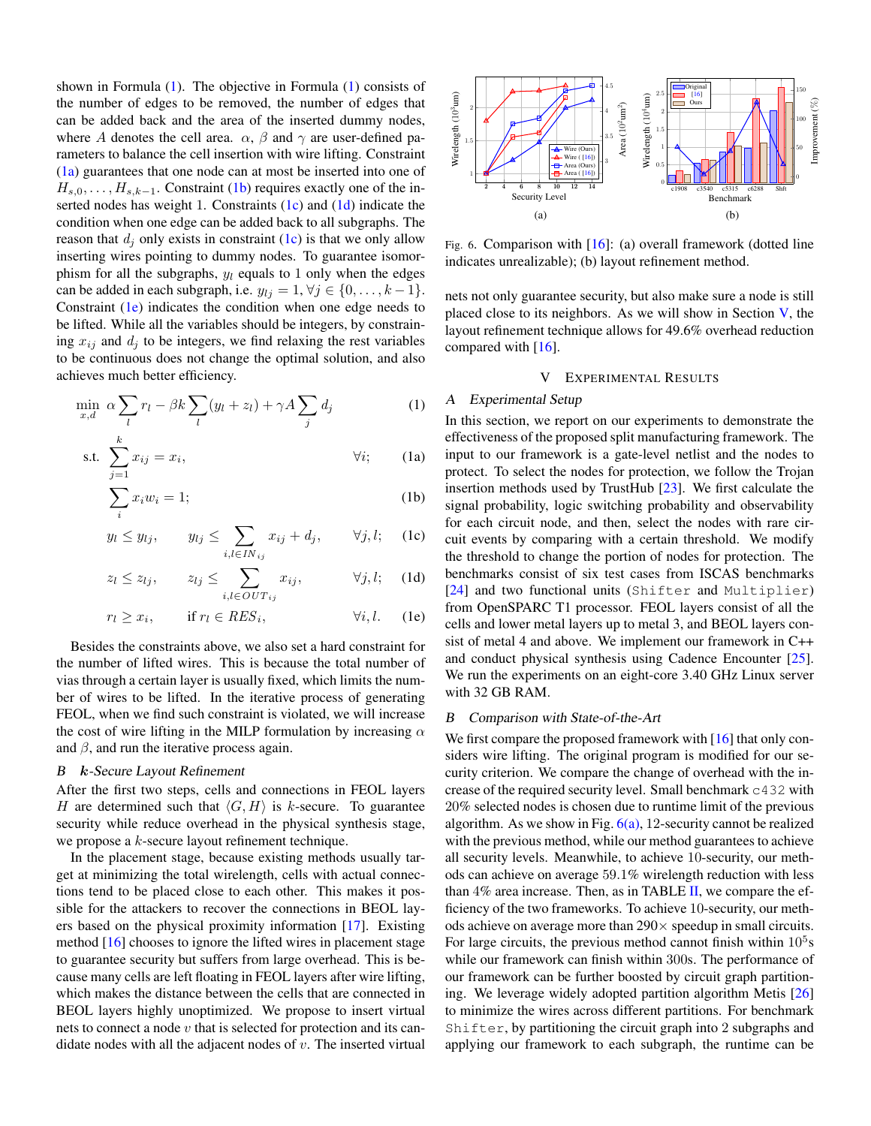shown in Formula [\(1\)](#page-4-1). The objective in Formula [\(1\)](#page-4-2) consists of the number of edges to be removed, the number of edges that can be added back and the area of the inserted dummy nodes, where A denotes the cell area.  $\alpha$ ,  $\beta$  and  $\gamma$  are user-defined parameters to balance the cell insertion with wire lifting. Constraint [\(1a\)](#page-4-3) guarantees that one node can at most be inserted into one of  $H_{s,0}, \ldots, H_{s,k-1}$ . Constraint [\(1b\)](#page-4-4) requires exactly one of the inserted nodes has weight 1. Constraints  $(1c)$  and  $(1d)$  indicate the condition when one edge can be added back to all subgraphs. The reason that  $d_i$  only exists in constraint [\(1c\)](#page-4-5) is that we only allow inserting wires pointing to dummy nodes. To guarantee isomorphism for all the subgraphs,  $y_l$  equals to 1 only when the edges can be added in each subgraph, i.e.  $y_{ij} = 1, \forall j \in \{0, \ldots, k-1\}.$ Constraint [\(1e\)](#page-4-1) indicates the condition when one edge needs to be lifted. While all the variables should be integers, by constraining  $x_{ij}$  and  $d_i$  to be integers, we find relaxing the rest variables to be continuous does not change the optimal solution, and also achieves much better efficiency.

<span id="page-4-2"></span>
$$
\min_{x,d} \alpha \sum_l r_l - \beta k \sum_l (y_l + z_l) + \gamma A \sum_j d_j \tag{1}
$$

$$
\text{s.t. } \sum_{j=1}^{k} x_{ij} = x_i, \qquad \qquad \forall i; \qquad \text{(1a)}
$$

$$
\sum_{i} x_i w_i = 1; \tag{1b}
$$

$$
y_l \le y_{lj}, \qquad y_{lj} \le \sum_{i,l \in IN_{ij}} x_{ij} + d_j, \qquad \forall j,l; \quad (1c)
$$

$$
z_l \le z_{lj}, \qquad z_{lj} \le \sum_{i,l \in OUT_{ij}} x_{ij}, \qquad \forall j,l; \quad (1d)
$$

$$
r_l \ge x_i, \qquad \text{if } r_l \in RES_i, \qquad \qquad \forall i, l. \qquad (1e)
$$

Besides the constraints above, we also set a hard constraint for the number of lifted wires. This is because the total number of vias through a certain layer is usually fixed, which limits the number of wires to be lifted. In the iterative process of generating FEOL, when we find such constraint is violated, we will increase the cost of wire lifting in the MILP formulation by increasing  $\alpha$ and  $\beta$ , and run the iterative process again.

### B k-Secure Layout Refinement

After the first two steps, cells and connections in FEOL layers H are determined such that  $\langle G, H \rangle$  is k-secure. To guarantee security while reduce overhead in the physical synthesis stage, we propose a *k*-secure layout refinement technique.

In the placement stage, because existing methods usually target at minimizing the total wirelength, cells with actual connections tend to be placed close to each other. This makes it possible for the attackers to recover the connections in BEOL layers based on the physical proximity information [\[17\]](#page-5-7). Existing method [\[16\]](#page-5-8) chooses to ignore the lifted wires in placement stage to guarantee security but suffers from large overhead. This is because many cells are left floating in FEOL layers after wire lifting, which makes the distance between the cells that are connected in BEOL layers highly unoptimized. We propose to insert virtual nets to connect a node  $v$  that is selected for protection and its candidate nodes with all the adjacent nodes of  $v$ . The inserted virtual



<span id="page-4-7"></span>Fig. 6. Comparison with  $[16]$ : (a) overall framework (dotted line indicates unrealizable); (b) layout refinement method.

nets not only guarantee security, but also make sure a node is still placed close to its neighbors. As we will show in Section  $V$ , the layout refinement technique allows for 49.6% overhead reduction compared with [\[16\]](#page-5-8).

#### <span id="page-4-8"></span>V EXPERIMENTAL RESULTS

#### <span id="page-4-0"></span>A Experimental Setup

<span id="page-4-6"></span><span id="page-4-5"></span><span id="page-4-4"></span><span id="page-4-3"></span>In this section, we report on our experiments to demonstrate the effectiveness of the proposed split manufacturing framework. The input to our framework is a gate-level netlist and the nodes to protect. To select the nodes for protection, we follow the Trojan insertion methods used by TrustHub [\[23\]](#page-5-14). We first calculate the signal probability, logic switching probability and observability for each circuit node, and then, select the nodes with rare circuit events by comparing with a certain threshold. We modify the threshold to change the portion of nodes for protection. The benchmarks consist of six test cases from ISCAS benchmarks [\[24\]](#page-5-15) and two functional units (Shifter and Multiplier) from OpenSPARC T1 processor. FEOL layers consist of all the cells and lower metal layers up to metal 3, and BEOL layers consist of metal 4 and above. We implement our framework in C++ and conduct physical synthesis using Cadence Encounter [\[25\]](#page-5-16). We run the experiments on an eight-core 3.40 GHz Linux server with 32 GB RAM.

### <span id="page-4-1"></span>B Comparison with State-of-the-Art

We first compare the proposed framework with [\[16\]](#page-5-8) that only considers wire lifting. The original program is modified for our security criterion. We compare the change of overhead with the increase of the required security level. Small benchmark c432 with 20% selected nodes is chosen due to runtime limit of the previous algorithm. As we show in Fig.  $6(a)$ , 12-security cannot be realized with the previous method, while our method guarantees to achieve all security levels. Meanwhile, to achieve 10-security, our methods can achieve on average 59.1% wirelength reduction with less than 4% area increase. Then, as in TABLE  $II$ , we compare the efficiency of the two frameworks. To achieve 10-security, our methods achieve on average more than  $290 \times$  speedup in small circuits. For large circuits, the previous method cannot finish within  $10^5$ s while our framework can finish within 300s. The performance of our framework can be further boosted by circuit graph partitioning. We leverage widely adopted partition algorithm Metis [\[26\]](#page-5-18) to minimize the wires across different partitions. For benchmark Shifter, by partitioning the circuit graph into 2 subgraphs and applying our framework to each subgraph, the runtime can be